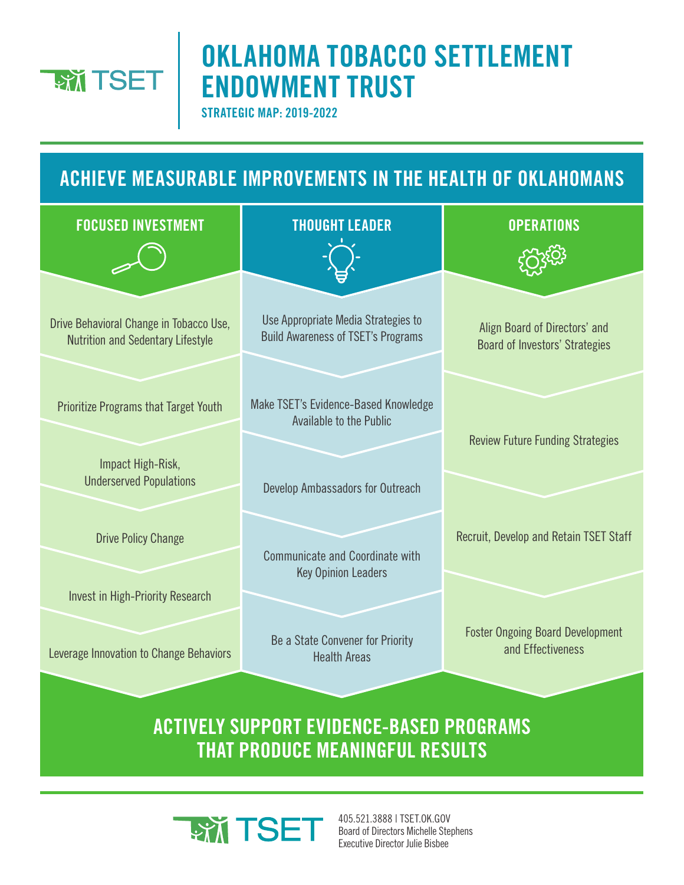

# **OKLAHOMA TOBACCO SETTLEMENT ENDOWMENT TRUST**

**STRATEGIC MAP: 2019-2022**

### **ACHIEVE MEASURABLE IMPROVEMENTS IN THE HEALTH OF OKLAHOMANS**



#### **ACTIVELY SUPPORT EVIDENCE-BASED PROGRAMS THAT PRODUCE MEANINGFUL RESULTS**



405.521.3888 | TSET.OK.GOV Board of Directors Michelle Stephens Executive Director Julie Bisbee